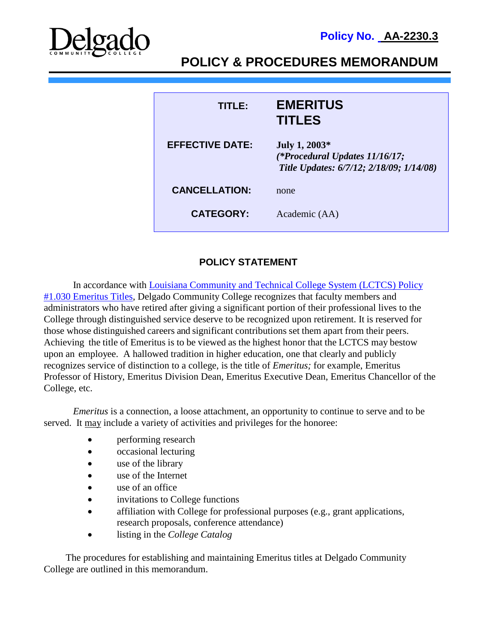



**POLICY & PROCEDURES MEMORANDUM**

| TITI EA                | <b>EMERITUS</b><br><b>TITLES</b>                                                            |
|------------------------|---------------------------------------------------------------------------------------------|
| <b>EFFECTIVE DATE:</b> | July 1, 2003*<br>(*Procedural Updates 11/16/17;<br>Title Updates: 6/7/12; 2/18/09; 1/14/08) |
| <b>CANCELLATION:</b>   | none                                                                                        |
| <b>CATEGORY:</b>       | Academic (AA)                                                                               |

# **POLICY STATEMENT**

In accordance with Louisiana Community and Technical College System (LCTCS) Policy [#1.030 Emeritus Titles,](https://campussuite-storage.s3.amazonaws.com/prod/1558543/91b64910-2d2e-11e8-8c09-0a7155647e8a/1778009/00514712-584f-11e8-8649-12be56b8d5f6/file/1030_Emeritus-Titles_12052016.pdf) Delgado Community College recognizes that faculty members and administrators who have retired after giving a significant portion of their professional lives to the College through distinguished service deserve to be recognized upon retirement. It is reserved for those whose distinguished careers and significant contributions set them apart from their peers. Achieving the title of Emeritus is to be viewed as the highest honor that the LCTCS may bestow upon an employee. A hallowed tradition in higher education, one that clearly and publicly recognizes service of distinction to a college, is the title of *Emeritus;* for example, Emeritus Professor of History, Emeritus Division Dean, Emeritus Executive Dean, Emeritus Chancellor of the College, etc.

*Emeritus* is a connection, a loose attachment, an opportunity to continue to serve and to be served. It may include a variety of activities and privileges for the honoree:

- performing research
- occasional lecturing
- use of the library
- use of the Internet
- use of an office
- invitations to College functions
- affiliation with College for professional purposes (e.g., grant applications, research proposals, conference attendance)
- listing in the *College Catalog*

 The procedures for establishing and maintaining Emeritus titles at Delgado Community College are outlined in this memorandum.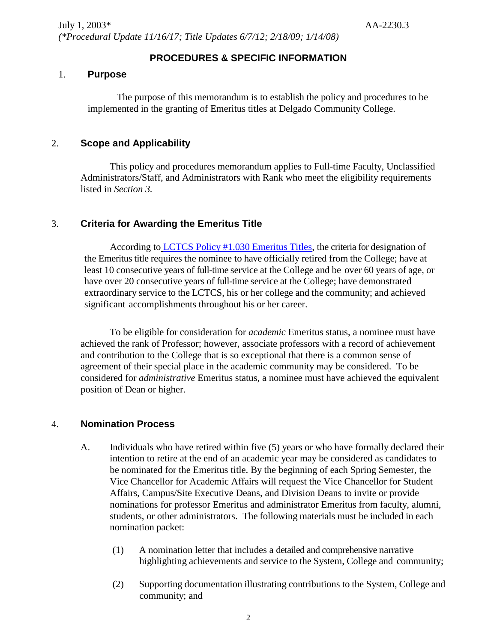# **PROCEDURES & SPECIFIC INFORMATION**

#### 1. **Purpose**

The purpose of this memorandum is to establish the policy and procedures to be implemented in the granting of Emeritus titles at Delgado Community College.

#### 2. **Scope and Applicability**

This policy and procedures memorandum applies to Full-time Faculty, Unclassified Administrators/Staff, and Administrators with Rank who meet the eligibility requirements listed in *Section 3.*

### 3. **Criteria for Awarding the Emeritus Title**

According to [LCTCS Policy #1.030 Emeritus Titles,](https://campussuite-storage.s3.amazonaws.com/prod/1558543/91b64910-2d2e-11e8-8c09-0a7155647e8a/1778009/00514712-584f-11e8-8649-12be56b8d5f6/file/1030_Emeritus-Titles_12052016.pdf) the criteria for designation of the Emeritus title requires the nominee to have officially retired from the College; have at least 10 consecutive years of full-time service at the College and be over 60 years of age, or have over 20 consecutive years of full-time service at the College; have demonstrated extraordinary service to the LCTCS, his or her college and the community; and achieved significant accomplishments throughout his or her career.

To be eligible for consideration for *academic* Emeritus status, a nominee must have achieved the rank of Professor; however, associate professors with a record of achievement and contribution to the College that is so exceptional that there is a common sense of agreement of their special place in the academic community may be considered. To be considered for *administrative* Emeritus status, a nominee must have achieved the equivalent position of Dean or higher.

#### 4. **Nomination Process**

- A. Individuals who have retired within five (5) years or who have formally declared their intention to retire at the end of an academic year may be considered as candidates to be nominated for the Emeritus title. By the beginning of each Spring Semester, the Vice Chancellor for Academic Affairs will request the Vice Chancellor for Student Affairs, Campus/Site Executive Deans, and Division Deans to invite or provide nominations for professor Emeritus and administrator Emeritus from faculty, alumni, students, or other administrators. The following materials must be included in each nomination packet:
	- (1) A nomination letter that includes a detailed and comprehensive narrative highlighting achievements and service to the System, College and community;
	- (2) Supporting documentation illustrating contributions to the System, College and community; and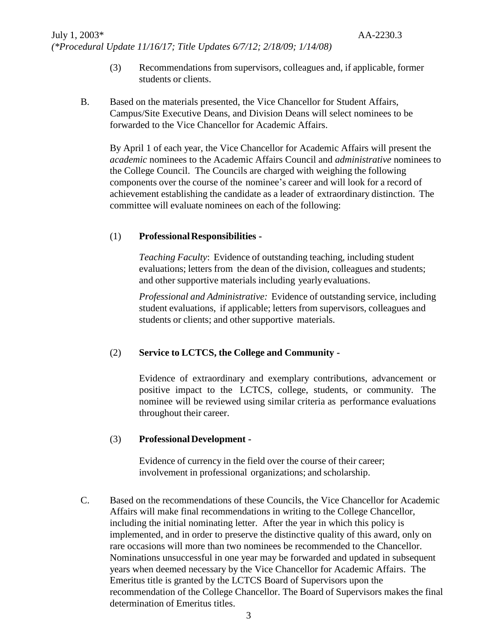- (3) Recommendations from supervisors, colleagues and, if applicable, former students or clients.
- B. Based on the materials presented, the Vice Chancellor for Student Affairs, Campus/Site Executive Deans, and Division Deans will select nominees to be forwarded to the Vice Chancellor for Academic Affairs.

By April 1 of each year, the Vice Chancellor for Academic Affairs will present the *academic* nominees to the Academic Affairs Council and *administrative* nominees to the College Council. The Councils are charged with weighing the following components over the course of the nominee's career and will look for a record of achievement establishing the candidate as a leader of extraordinary distinction. The committee will evaluate nominees on each of the following:

#### (1) **ProfessionalResponsibilities -**

*Teaching Faculty*: Evidence of outstanding teaching, including student evaluations; letters from the dean of the division, colleagues and students; and other supportive materials including yearly evaluations.

*Professional and Administrative:* Evidence of outstanding service, including student evaluations, if applicable; letters from supervisors, colleagues and students or clients; and other supportive materials.

### (2) **Service to LCTCS, the College and Community -**

Evidence of extraordinary and exemplary contributions, advancement or positive impact to the LCTCS, college, students, or community. The nominee will be reviewed using similar criteria as performance evaluations throughout their career.

#### (3) **Professional Development -**

Evidence of currency in the field over the course of their career; involvement in professional organizations; and scholarship.

C. Based on the recommendations of these Councils, the Vice Chancellor for Academic Affairs will make final recommendations in writing to the College Chancellor, including the initial nominating letter. After the year in which this policy is implemented, and in order to preserve the distinctive quality of this award, only on rare occasions will more than two nominees be recommended to the Chancellor. Nominations unsuccessful in one year may be forwarded and updated in subsequent years when deemed necessary by the Vice Chancellor for Academic Affairs. The Emeritus title is granted by the LCTCS Board of Supervisors upon the recommendation of the College Chancellor. The Board of Supervisors makes the final determination of Emeritus titles.